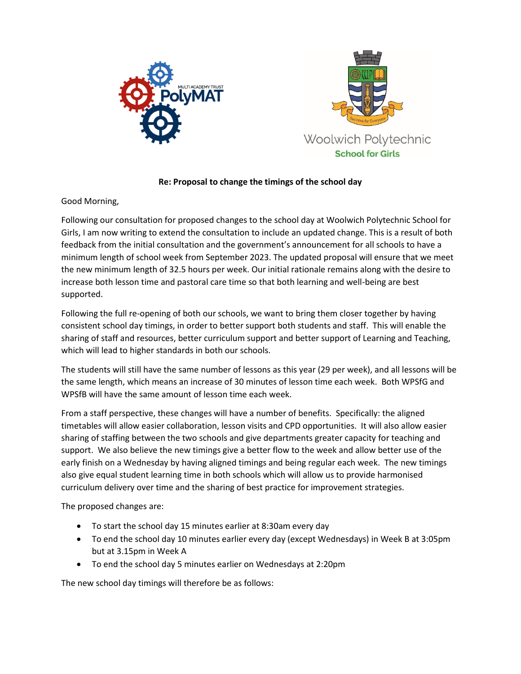



## **Re: Proposal to change the timings of the school day**

Good Morning,

Following our consultation for proposed changes to the school day at Woolwich Polytechnic School for Girls, I am now writing to extend the consultation to include an updated change. This is a result of both feedback from the initial consultation and the government's announcement for all schools to have a minimum length of school week from September 2023. The updated proposal will ensure that we meet the new minimum length of 32.5 hours per week. Our initial rationale remains along with the desire to increase both lesson time and pastoral care time so that both learning and well-being are best supported.

Following the full re-opening of both our schools, we want to bring them closer together by having consistent school day timings, in order to better support both students and staff. This will enable the sharing of staff and resources, better curriculum support and better support of Learning and Teaching, which will lead to higher standards in both our schools.

The students will still have the same number of lessons as this year (29 per week), and all lessons will be the same length, which means an increase of 30 minutes of lesson time each week. Both WPSfG and WPSfB will have the same amount of lesson time each week.

From a staff perspective, these changes will have a number of benefits. Specifically: the aligned timetables will allow easier collaboration, lesson visits and CPD opportunities. It will also allow easier sharing of staffing between the two schools and give departments greater capacity for teaching and support. We also believe the new timings give a better flow to the week and allow better use of the early finish on a Wednesday by having aligned timings and being regular each week. The new timings also give equal student learning time in both schools which will allow us to provide harmonised curriculum delivery over time and the sharing of best practice for improvement strategies.

The proposed changes are:

- To start the school day 15 minutes earlier at 8:30am every day
- To end the school day 10 minutes earlier every day (except Wednesdays) in Week B at 3:05pm but at 3.15pm in Week A
- To end the school day 5 minutes earlier on Wednesdays at 2:20pm

The new school day timings will therefore be as follows: